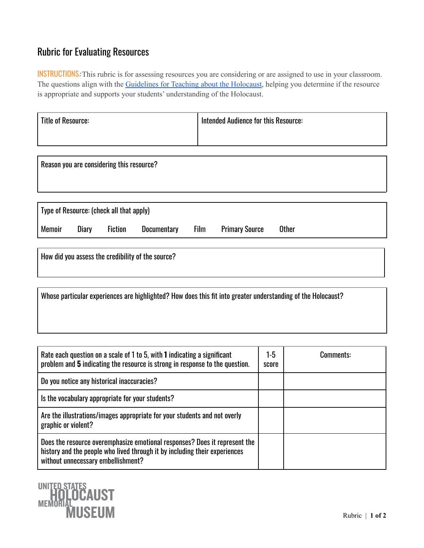## Rubric for Evaluating Resources

INSTRUCTIONS: This rubric is for assessing resources you are considering or are assigned to use in your classroom. The questions align with the [Guidelines for Teaching about the Holocaust,](https://www.ushmm.org/teach/fundamentals/guidelines-for-teaching-the-holocaust) helping you determine if the resource is appropriate and supports your students' understanding of the Holocaust.

| Title of Resource: | Intended Audience for this Resource: |  |  |
|--------------------|--------------------------------------|--|--|
|                    |                                      |  |  |

Reason you are considering this resource?

| Type of Resource: (check all that apply) |       |                |             |             |                       |       |  |  |
|------------------------------------------|-------|----------------|-------------|-------------|-----------------------|-------|--|--|
| <b>Memoir</b>                            | Diary | <b>Fiction</b> | Documentary | <b>Film</b> | <b>Primary Source</b> | Other |  |  |
|                                          |       |                |             |             |                       |       |  |  |

How did you assess the credibility of the source?

Whose particular experiences are highlighted? How does this fit into greater understanding of the Holocaust?

| Rate each question on a scale of 1 to 5, with 1 indicating a significant<br>problem and 5 indicating the resource is strong in response to the question.                                       | 1-5<br>score | Comments: |
|------------------------------------------------------------------------------------------------------------------------------------------------------------------------------------------------|--------------|-----------|
| Do you notice any historical inaccuracies?                                                                                                                                                     |              |           |
| Is the vocabulary appropriate for your students?                                                                                                                                               |              |           |
| Are the illustrations/images appropriate for your students and not overly<br>graphic or violent?                                                                                               |              |           |
| Does the resource overemphasize emotional responses? Does it represent the<br>history and the people who lived through it by including their experiences<br>without unnecessary embellishment? |              |           |